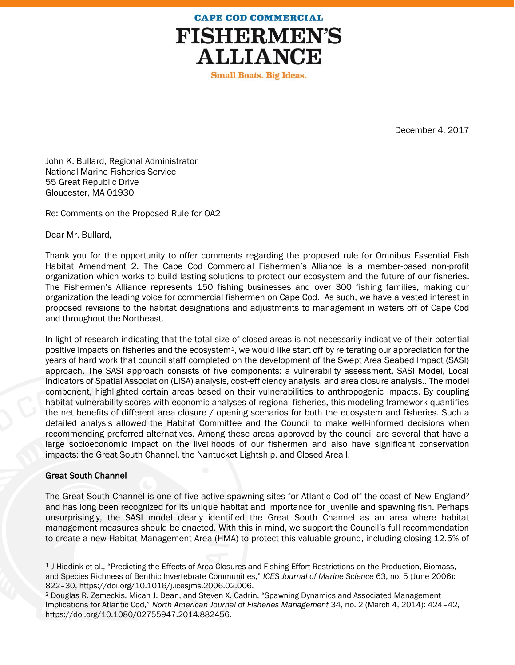

**Small Boats. Big Ideas.** 

December 4, 2017

John K. Bullard, Regional Administrator National Marine Fisheries Service 55 Great Republic Drive Gloucester, MA 01930

Re: Comments on the Proposed Rule for OA2

Dear Mr. Bullard,

Thank you for the opportunity to offer comments regarding the proposed rule for Omnibus Essential Fish Habitat Amendment 2. The Cape Cod Commercial Fishermen's Alliance is a member-based non-profit organization which works to build lasting solutions to protect our ecosystem and the future of our fisheries. The Fishermen's Alliance represents 150 fishing businesses and over 300 fishing families, making our organization the leading voice for commercial fishermen on Cape Cod. As such, we have a vested interest in proposed revisions to the habitat designations and adjustments to management in waters off of Cape Cod and throughout the Northeast.

In light of research indicating that the total size of closed areas is not necessarily indicative of their potential positive impacts on fisheries and the ecosystem<sup>1</sup>, we would like start off by reiterating our appreciation for the years of hard work that council staff completed on the development of the Swept Area Seabed Impact (SASI) approach. The SASI approach consists of five components: a vulnerability assessment, SASI Model, Local Indicators of Spatial Association (LISA) analysis, cost-efficiency analysis, and area closure analysis.. The model component, highlighted certain areas based on their vulnerabilities to anthropogenic impacts. By coupling habitat vulnerability scores with economic analyses of regional fisheries, this modeling framework quantifies the net benefits of different area closure / opening scenarios for both the ecosystem and fisheries. Such a detailed analysis allowed the Habitat Committee and the Council to make well-informed decisions when recommending preferred alternatives. Among these areas approved by the council are several that have a large socioeconomic impact on the livelihoods of our fishermen and also have significant conservation impacts: the Great South Channel, the Nantucket Lightship, and Closed Area I.

## Great South Channel

 $\overline{a}$ 

The Great South Channel is one of five active spawning sites for Atlantic Cod off the coast of New England<sup>2</sup> and has long been recognized for its unique habitat and importance for juvenile and spawning fish. Perhaps unsurprisingly, the SASI model clearly identified the Great South Channel as an area where habitat management measures should be enacted. With this in mind, we support the Council's full recommendation to create a new Habitat Management Area (HMA) to protect this valuable ground, including closing 12.5% of

<sup>1</sup> J Hiddink et al., "Predicting the Effects of Area Closures and Fishing Effort Restrictions on the Production, Biomass, and Species Richness of Benthic Invertebrate Communities," *ICES Journal of Marine Science* 63, no. 5 (June 2006): 822–30, https://doi.org/10.1016/j.icesjms.2006.02.006.

<sup>2</sup> Douglas R. Zemeckis, Micah J. Dean, and Steven X. Cadrin, "Spawning Dynamics and Associated Management Implications for Atlantic Cod," *North American Journal of Fisheries Management* 34, no. 2 (March 4, 2014): 424–42, https://doi.org/10.1080/02755947.2014.882456.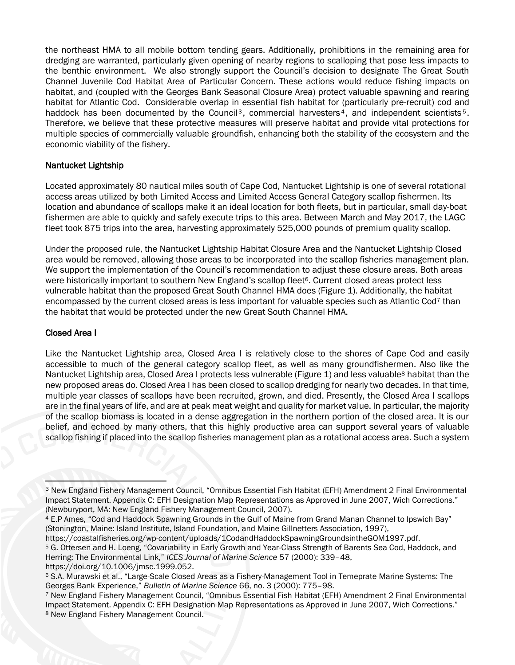the northeast HMA to all mobile bottom tending gears. Additionally, prohibitions in the remaining area for dredging are warranted, particularly given opening of nearby regions to scalloping that pose less impacts to the benthic environment. We also strongly support the Council's decision to designate The Great South Channel Juvenile Cod Habitat Area of Particular Concern. These actions would reduce fishing impacts on habitat, and (coupled with the Georges Bank Seasonal Closure Area) protect valuable spawning and rearing habitat for Atlantic Cod. Considerable overlap in essential fish habitat for (particularly pre-recruit) cod and haddock has been documented by the Council<sup>3</sup>, commercial harvesters<sup>4</sup>, and independent scientists<sup>5</sup>. Therefore, we believe that these protective measures will preserve habitat and provide vital protections for multiple species of commercially valuable groundfish, enhancing both the stability of the ecosystem and the economic viability of the fishery.

## Nantucket Lightship

Located approximately 80 nautical miles south of Cape Cod, Nantucket Lightship is one of several rotational access areas utilized by both Limited Access and Limited Access General Category scallop fishermen. Its location and abundance of scallops make it an ideal location for both fleets, but in particular, small day-boat fishermen are able to quickly and safely execute trips to this area. Between March and May 2017, the LAGC fleet took 875 trips into the area, harvesting approximately 525,000 pounds of premium quality scallop.

Under the proposed rule, the Nantucket Lightship Habitat Closure Area and the Nantucket Lightship Closed area would be removed, allowing those areas to be incorporated into the scallop fisheries management plan. We support the implementation of the Council's recommendation to adjust these closure areas. Both areas were historically important to southern New England's scallop fleet<sup>6</sup>. Current closed areas protect less vulnerable habitat than the proposed Great South Channel HMA does (Figure 1). Additionally, the habitat encompassed by the current closed areas is less important for valuable species such as Atlantic Cod<sup>7</sup> than the habitat that would be protected under the new Great South Channel HMA.

## Closed Area I

 $\overline{a}$ 

Like the Nantucket Lightship area, Closed Area I is relatively close to the shores of Cape Cod and easily accessible to much of the general category scallop fleet, as well as many groundfishermen. Also like the Nantucket Lightship area, Closed Area I protects less vulnerable (Figure 1) and less valuable<sup>8</sup> habitat than the new proposed areas do. Closed Area I has been closed to scallop dredging for nearly two decades. In that time, multiple year classes of scallops have been recruited, grown, and died. Presently, the Closed Area I scallops are in the final years of life, and are at peak meat weight and quality for market value. In particular, the majority of the scallop biomass is located in a dense aggregation in the northern portion of the closed area. It is our belief, and echoed by many others, that this highly productive area can support several years of valuable scallop fishing if placed into the scallop fisheries management plan as a rotational access area. Such a system

<sup>3</sup> New England Fishery Management Council, "Omnibus Essential Fish Habitat (EFH) Amendment 2 Final Environmental Impact Statement. Appendix C: EFH Designation Map Representations as Approved in June 2007, Wich Corrections." (Newburyport, MA: New England Fishery Management Council, 2007).

<sup>4</sup> E.P Ames, "Cod and Haddock Spawning Grounds in the Gulf of Maine from Grand Manan Channel to Ipswich Bay" (Stonington, Maine: Island Institute, Island Foundation, and Maine Gillnetters Association, 1997),

https://coastalfisheries.org/wp-content/uploads/1CodandHaddockSpawningGroundsintheGOM1997.pdf. <sup>5</sup> G. Ottersen and H. Loeng, "Covariability in Early Growth and Year-Class Strength of Barents Sea Cod, Haddock, and Herring: The Environmental Link," *ICES Journal of Marine Science* 57 (2000): 339–48, https://doi.org/10.1006/jmsc.1999.052.

<sup>6</sup> S.A. Murawski et al., "Large-Scale Closed Areas as a Fishery-Management Tool in Temeprate Marine Systems: The Georges Bank Experience," *Bulletin of Marine Science* 66, no. 3 (2000): 775–98.

<sup>7</sup> New England Fishery Management Council, "Omnibus Essential Fish Habitat (EFH) Amendment 2 Final Environmental Impact Statement. Appendix C: EFH Designation Map Representations as Approved in June 2007, Wich Corrections." <sup>8</sup> New England Fishery Management Council.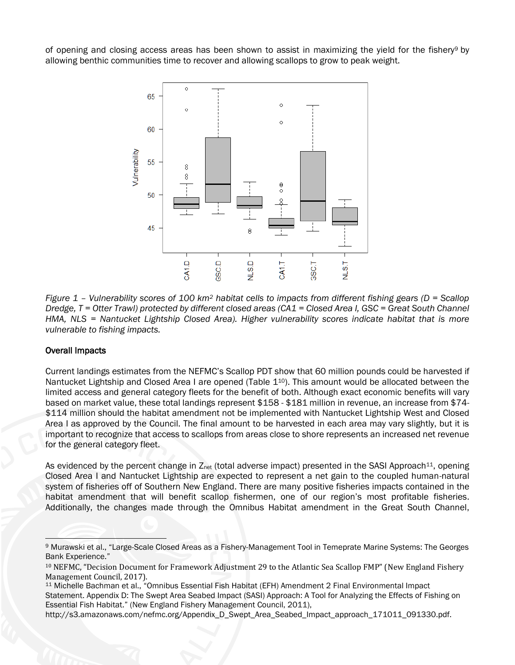of opening and closing access areas has been shown to assist in maximizing the yield for the fishery<sup>9</sup> by allowing benthic communities time to recover and allowing scallops to grow to peak weight.



*Figure 1 – Vulnerability scores of 100 km<sup>2</sup> habitat cells to impacts from different fishing gears (D = Scallop Dredge, T = Otter Trawl) protected by different closed areas (CA1 = Closed Area I, GSC = Great South Channel HMA, NLS = Nantucket Lightship Closed Area). Higher vulnerability scores indicate habitat that is more vulnerable to fishing impacts.* 

## Overall Impacts

Current landings estimates from the NEFMC's Scallop PDT show that 60 million pounds could be harvested if Nantucket Lightship and Closed Area I are opened (Table 1<sup>10</sup>). This amount would be allocated between the limited access and general category fleets for the benefit of both. Although exact economic benefits will vary based on market value, these total landings represent \$158 - \$181 million in revenue, an increase from \$74- \$114 million should the habitat amendment not be implemented with Nantucket Lightship West and Closed Area I as approved by the Council. The final amount to be harvested in each area may vary slightly, but it is important to recognize that access to scallops from areas close to shore represents an increased net revenue for the general category fleet.

As evidenced by the percent change in  $Z_{net}$  (total adverse impact) presented in the SASI Approach<sup>11</sup>, opening Closed Area I and Nantucket Lightship are expected to represent a net gain to the coupled human-natural system of fisheries off of Southern New England. There are many positive fisheries impacts contained in the habitat amendment that will benefit scallop fishermen, one of our region's most profitable fisheries. Additionally, the changes made through the Omnibus Habitat amendment in the Great South Channel,

 $\overline{a}$ <sup>9</sup> Murawski et al., "Large-Scale Closed Areas as a Fishery-Management Tool in Temeprate Marine Systems: The Georges Bank Experience."

<sup>10</sup> NEFMC, "Decision Document for Framework Adjustment 29 to the Atlantic Sea Scallop FMP" (New England Fishery Management Council, 2017).

<sup>11</sup> Michelle Bachman et al., "Omnibus Essential Fish Habitat (EFH) Amendment 2 Final Environmental Impact Statement. Appendix D: The Swept Area Seabed Impact (SASI) Approach: A Tool for Analyzing the Effects of Fishing on Essential Fish Habitat." (New England Fishery Management Council, 2011),

http://s3.amazonaws.com/nefmc.org/Appendix\_D\_Swept\_Area\_Seabed\_Impact\_approach\_171011\_091330.pdf.